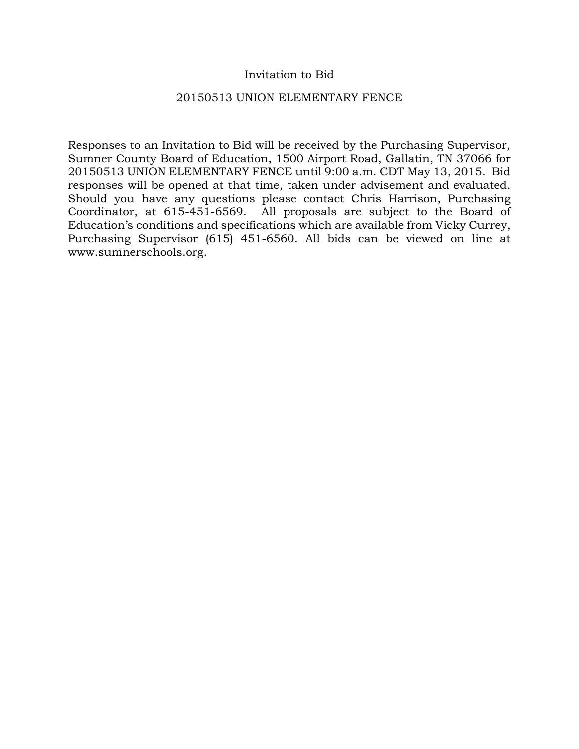## Invitation to Bid

### 20150513 UNION ELEMENTARY FENCE

Responses to an Invitation to Bid will be received by the Purchasing Supervisor, Sumner County Board of Education, 1500 Airport Road, Gallatin, TN 37066 for 20150513 UNION ELEMENTARY FENCE until 9:00 a.m. CDT May 13, 2015. Bid responses will be opened at that time, taken under advisement and evaluated. Should you have any questions please contact Chris Harrison, Purchasing Coordinator, at 615-451-6569. All proposals are subject to the Board of Education's conditions and specifications which are available from Vicky Currey, Purchasing Supervisor (615) 451-6560. All bids can be viewed on line at www.sumnerschools.org.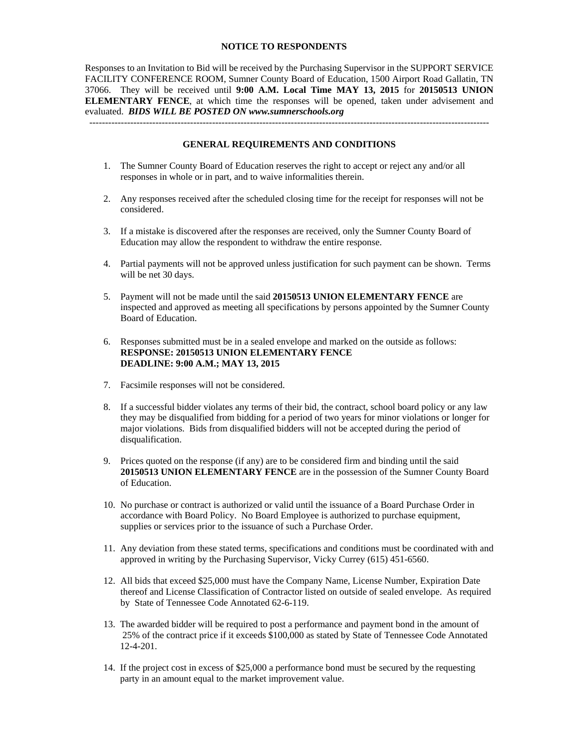### **NOTICE TO RESPONDENTS**

Responses to an Invitation to Bid will be received by the Purchasing Supervisor in the SUPPORT SERVICE FACILITY CONFERENCE ROOM, Sumner County Board of Education, 1500 Airport Road Gallatin, TN 37066. They will be received until **9:00 A.M. Local Time MAY 13, 2015** for **20150513 UNION ELEMENTARY FENCE**, at which time the responses will be opened, taken under advisement and evaluated. *BIDS WILL BE POSTED ON www.sumnerschools.org* 

#### **GENERAL REQUIREMENTS AND CONDITIONS**

-------------------------------------------------------------------------------------------------------------------------------

- 1. The Sumner County Board of Education reserves the right to accept or reject any and/or all responses in whole or in part, and to waive informalities therein.
- 2. Any responses received after the scheduled closing time for the receipt for responses will not be considered.
- 3. If a mistake is discovered after the responses are received, only the Sumner County Board of Education may allow the respondent to withdraw the entire response.
- 4. Partial payments will not be approved unless justification for such payment can be shown. Terms will be net 30 days.
- 5. Payment will not be made until the said **20150513 UNION ELEMENTARY FENCE** are inspected and approved as meeting all specifications by persons appointed by the Sumner County Board of Education.
- 6. Responses submitted must be in a sealed envelope and marked on the outside as follows: **RESPONSE: 20150513 UNION ELEMENTARY FENCE DEADLINE: 9:00 A.M.; MAY 13, 2015**
- 7. Facsimile responses will not be considered.
- 8. If a successful bidder violates any terms of their bid, the contract, school board policy or any law they may be disqualified from bidding for a period of two years for minor violations or longer for major violations. Bids from disqualified bidders will not be accepted during the period of disqualification.
- 9. Prices quoted on the response (if any) are to be considered firm and binding until the said **20150513 UNION ELEMENTARY FENCE** are in the possession of the Sumner County Board of Education.
- 10. No purchase or contract is authorized or valid until the issuance of a Board Purchase Order in accordance with Board Policy. No Board Employee is authorized to purchase equipment, supplies or services prior to the issuance of such a Purchase Order.
- 11. Any deviation from these stated terms, specifications and conditions must be coordinated with and approved in writing by the Purchasing Supervisor, Vicky Currey (615) 451-6560.
- 12. All bids that exceed \$25,000 must have the Company Name, License Number, Expiration Date thereof and License Classification of Contractor listed on outside of sealed envelope. As required by State of Tennessee Code Annotated 62-6-119.
- 13. The awarded bidder will be required to post a performance and payment bond in the amount of 25% of the contract price if it exceeds \$100,000 as stated by State of Tennessee Code Annotated 12-4-201.
- 14. If the project cost in excess of \$25,000 a performance bond must be secured by the requesting party in an amount equal to the market improvement value.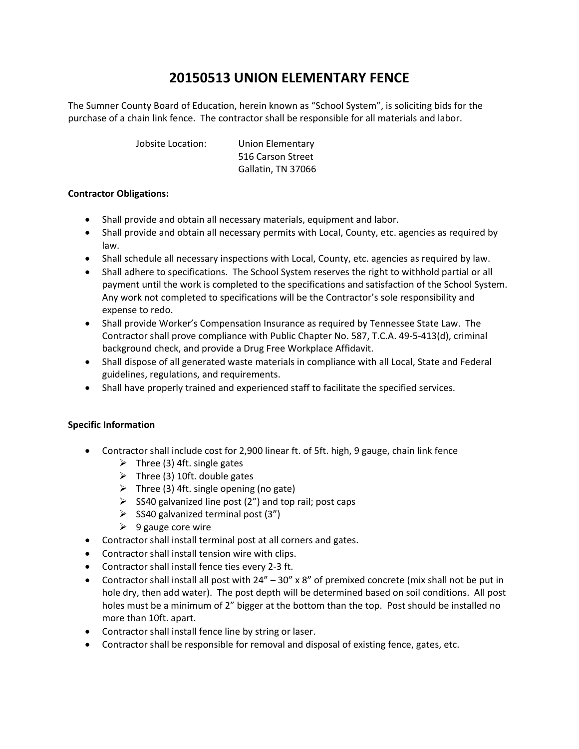# **20150513 UNION ELEMENTARY FENCE**

The Sumner County Board of Education, herein known as "School System", is soliciting bids for the purchase of a chain link fence. The contractor shall be responsible for all materials and labor.

Jobsite Location: Union Elementary

 516 Carson Street Gallatin, TN 37066

### **Contractor Obligations:**

- Shall provide and obtain all necessary materials, equipment and labor.
- Shall provide and obtain all necessary permits with Local, County, etc. agencies as required by law.
- Shall schedule all necessary inspections with Local, County, etc. agencies as required by law.
- Shall adhere to specifications. The School System reserves the right to withhold partial or all payment until the work is completed to the specifications and satisfaction of the School System. Any work not completed to specifications will be the Contractor's sole responsibility and expense to redo.
- Shall provide Worker's Compensation Insurance as required by Tennessee State Law. The Contractor shall prove compliance with Public Chapter No. 587, T.C.A. 49‐5‐413(d), criminal background check, and provide a Drug Free Workplace Affidavit.
- Shall dispose of all generated waste materials in compliance with all Local, State and Federal guidelines, regulations, and requirements.
- Shall have properly trained and experienced staff to facilitate the specified services.

### **Specific Information**

- Contractor shall include cost for 2,900 linear ft. of 5ft. high, 9 gauge, chain link fence
	- $\triangleright$  Three (3) 4ft. single gates
	- $\triangleright$  Three (3) 10ft. double gates
	- $\triangleright$  Three (3) 4ft. single opening (no gate)
	- $\triangleright$  SS40 galvanized line post (2") and top rail; post caps
	- $\triangleright$  SS40 galvanized terminal post (3")
	- $\triangleright$  9 gauge core wire
- Contractor shall install terminal post at all corners and gates.
- Contractor shall install tension wire with clips.
- Contractor shall install fence ties every 2‐3 ft.
- Contractor shall install all post with  $24'' 30''$  x 8" of premixed concrete (mix shall not be put in hole dry, then add water). The post depth will be determined based on soil conditions. All post holes must be a minimum of 2" bigger at the bottom than the top. Post should be installed no more than 10ft. apart.
- Contractor shall install fence line by string or laser.
- Contractor shall be responsible for removal and disposal of existing fence, gates, etc.